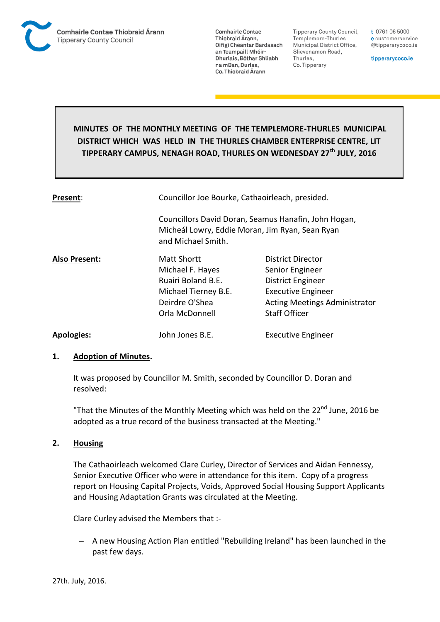

**Tipperary County Council,** Templemore-Thurles Municipal District Office, Slievenamon Road, Thurles, Co. Tipperary

t 0761 06 5000 e customerservice @tipperarycoco.ie

tipperarycoco.ie

# **MINUTES OF THE MONTHLY MEETING OF THE TEMPLEMORE-THURLES MUNICIPAL DISTRICT WHICH WAS HELD IN THE THURLES CHAMBER ENTERPRISE CENTRE, LIT TIPPERARY CAMPUS, NENAGH ROAD, THURLES ON WEDNESDAY 27th JULY, 2016**

| Present:             | Councillor Joe Bourke, Cathaoirleach, presided.                                                                               |                                      |  |
|----------------------|-------------------------------------------------------------------------------------------------------------------------------|--------------------------------------|--|
|                      | Councillors David Doran, Seamus Hanafin, John Hogan,<br>Micheál Lowry, Eddie Moran, Jim Ryan, Sean Ryan<br>and Michael Smith. |                                      |  |
| <b>Also Present:</b> | <b>Matt Shortt</b>                                                                                                            | District Director                    |  |
|                      | Michael F. Hayes                                                                                                              | Senior Engineer                      |  |
|                      | Ruairi Boland B.E.                                                                                                            | District Engineer                    |  |
|                      | Michael Tierney B.E.                                                                                                          | <b>Executive Engineer</b>            |  |
|                      | Deirdre O'Shea                                                                                                                | <b>Acting Meetings Administrator</b> |  |
|                      | Orla McDonnell                                                                                                                | <b>Staff Officer</b>                 |  |
| <b>Apologies:</b>    | John Jones B.E.                                                                                                               | <b>Executive Engineer</b>            |  |

#### **1. Adoption of Minutes.**

It was proposed by Councillor M. Smith, seconded by Councillor D. Doran and resolved:

"That the Minutes of the Monthly Meeting which was held on the 22<sup>nd</sup> June, 2016 be adopted as a true record of the business transacted at the Meeting."

#### **2. Housing**

The Cathaoirleach welcomed Clare Curley, Director of Services and Aidan Fennessy, Senior Executive Officer who were in attendance for this item. Copy of a progress report on Housing Capital Projects, Voids, Approved Social Housing Support Applicants and Housing Adaptation Grants was circulated at the Meeting.

Clare Curley advised the Members that :-

 A new Housing Action Plan entitled "Rebuilding Ireland" has been launched in the past few days.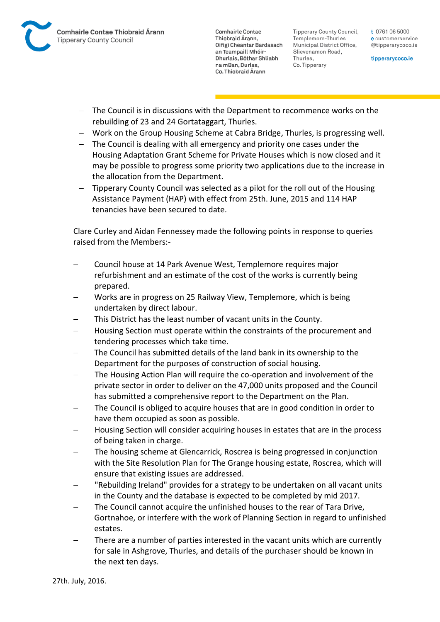

**Tipperary County Council,** Templemore-Thurles Municipal District Office, Slievenamon Road, Thurles, Co. Tipperary

t 0761 06 5000 e customerservice @tipperarycoco.ie

tipperarycoco.ie

- The Council is in discussions with the Department to recommence works on the rebuilding of 23 and 24 Gortataggart, Thurles.
- Work on the Group Housing Scheme at Cabra Bridge, Thurles, is progressing well.
- The Council is dealing with all emergency and priority one cases under the Housing Adaptation Grant Scheme for Private Houses which is now closed and it may be possible to progress some priority two applications due to the increase in the allocation from the Department.
- Tipperary County Council was selected as a pilot for the roll out of the Housing Assistance Payment (HAP) with effect from 25th. June, 2015 and 114 HAP tenancies have been secured to date.

Clare Curley and Aidan Fennessey made the following points in response to queries raised from the Members:-

- Council house at 14 Park Avenue West, Templemore requires major refurbishment and an estimate of the cost of the works is currently being prepared.
- Works are in progress on 25 Railway View, Templemore, which is being undertaken by direct labour.
- This District has the least number of vacant units in the County.
- Housing Section must operate within the constraints of the procurement and tendering processes which take time.
- The Council has submitted details of the land bank in its ownership to the Department for the purposes of construction of social housing.
- The Housing Action Plan will require the co-operation and involvement of the private sector in order to deliver on the 47,000 units proposed and the Council has submitted a comprehensive report to the Department on the Plan.
- The Council is obliged to acquire houses that are in good condition in order to have them occupied as soon as possible.
- Housing Section will consider acquiring houses in estates that are in the process of being taken in charge.
- The housing scheme at Glencarrick, Roscrea is being progressed in conjunction with the Site Resolution Plan for The Grange housing estate, Roscrea, which will ensure that existing issues are addressed.
- "Rebuilding Ireland" provides for a strategy to be undertaken on all vacant units in the County and the database is expected to be completed by mid 2017.
- The Council cannot acquire the unfinished houses to the rear of Tara Drive, Gortnahoe, or interfere with the work of Planning Section in regard to unfinished estates.
- There are a number of parties interested in the vacant units which are currently for sale in Ashgrove, Thurles, and details of the purchaser should be known in the next ten days.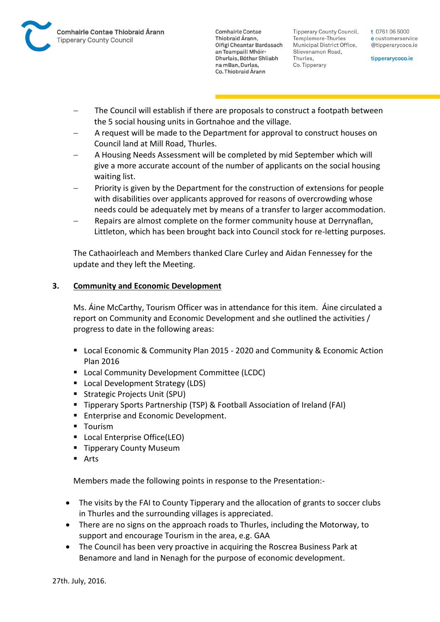

Tipperary County Council. Templemore-Thurles Municipal District Office, Slievenamon Road, Thurles, Co. Tipperary

t 0761 06 5000 e customerservice @tipperarycoco.ie

tipperarycoco.ie

- The Council will establish if there are proposals to construct a footpath between the 5 social housing units in Gortnahoe and the village.
- A request will be made to the Department for approval to construct houses on Council land at Mill Road, Thurles.
- A Housing Needs Assessment will be completed by mid September which will give a more accurate account of the number of applicants on the social housing waiting list.
- Priority is given by the Department for the construction of extensions for people with disabilities over applicants approved for reasons of overcrowding whose needs could be adequately met by means of a transfer to larger accommodation.
- Repairs are almost complete on the former community house at Derrynaflan, Littleton, which has been brought back into Council stock for re-letting purposes.

The Cathaoirleach and Members thanked Clare Curley and Aidan Fennessey for the update and they left the Meeting.

## **3. Community and Economic Development**

Ms. Áine McCarthy, Tourism Officer was in attendance for this item. Áine circulated a report on Community and Economic Development and she outlined the activities / progress to date in the following areas:

- Local Economic & Community Plan 2015 2020 and Community & Economic Action Plan 2016
- **E** Local Community Development Committee (LCDC)
- **Local Development Strategy (LDS)**
- Strategic Projects Unit (SPU)
- **Tipperary Sports Partnership (TSP) & Football Association of Ireland (FAI)**
- **Enterprise and Economic Development.**
- **Tourism**
- **Local Enterprise Office(LEO)**
- **Tipperary County Museum**
- Arts

Members made the following points in response to the Presentation:-

- The visits by the FAI to County Tipperary and the allocation of grants to soccer clubs in Thurles and the surrounding villages is appreciated.
- There are no signs on the approach roads to Thurles, including the Motorway, to support and encourage Tourism in the area, e.g. GAA
- The Council has been very proactive in acquiring the Roscrea Business Park at Benamore and land in Nenagh for the purpose of economic development.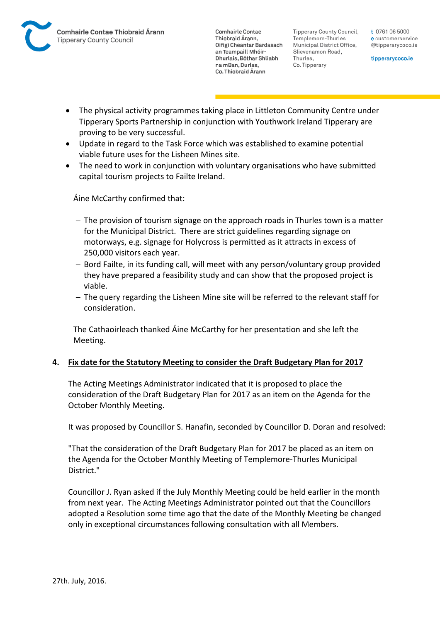Tipperary County Council. Templemore-Thurles Municipal District Office, Slievenamon Road, Thurles, Co. Tipperary

t 0761 06 5000 e customerservice @tipperarycoco.ie

tipperarycoco.ie

- The physical activity programmes taking place in Littleton Community Centre under Tipperary Sports Partnership in conjunction with Youthwork Ireland Tipperary are proving to be very successful.
- Update in regard to the Task Force which was established to examine potential viable future uses for the Lisheen Mines site.
- The need to work in conjunction with voluntary organisations who have submitted capital tourism projects to Failte Ireland.

Áine McCarthy confirmed that:

- $-$  The provision of tourism signage on the approach roads in Thurles town is a matter for the Municipal District. There are strict guidelines regarding signage on motorways, e.g. signage for Holycross is permitted as it attracts in excess of 250,000 visitors each year.
- Bord Failte, in its funding call, will meet with any person/voluntary group provided they have prepared a feasibility study and can show that the proposed project is viable.
- $-$  The query regarding the Lisheen Mine site will be referred to the relevant staff for consideration.

The Cathaoirleach thanked Áine McCarthy for her presentation and she left the Meeting.

#### **4. Fix date for the Statutory Meeting to consider the Draft Budgetary Plan for 2017**

The Acting Meetings Administrator indicated that it is proposed to place the consideration of the Draft Budgetary Plan for 2017 as an item on the Agenda for the October Monthly Meeting.

It was proposed by Councillor S. Hanafin, seconded by Councillor D. Doran and resolved:

"That the consideration of the Draft Budgetary Plan for 2017 be placed as an item on the Agenda for the October Monthly Meeting of Templemore-Thurles Municipal District."

Councillor J. Ryan asked if the July Monthly Meeting could be held earlier in the month from next year. The Acting Meetings Administrator pointed out that the Councillors adopted a Resolution some time ago that the date of the Monthly Meeting be changed only in exceptional circumstances following consultation with all Members.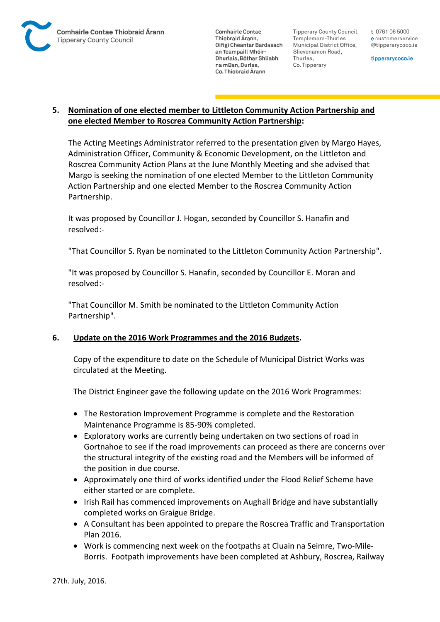

**Tipperary County Council,** Templemore-Thurles Municipal District Office, Slievenamon Road, Thurles, Co. Tipperary

t 0761 06 5000 e customerservice @tipperarycoco.ie

tipperarycoco.ie

## **5. Nomination of one elected member to Littleton Community Action Partnership and one elected Member to Roscrea Community Action Partnership:**

The Acting Meetings Administrator referred to the presentation given by Margo Hayes, Administration Officer, Community & Economic Development, on the Littleton and Roscrea Community Action Plans at the June Monthly Meeting and she advised that Margo is seeking the nomination of one elected Member to the Littleton Community Action Partnership and one elected Member to the Roscrea Community Action Partnership.

It was proposed by Councillor J. Hogan, seconded by Councillor S. Hanafin and resolved:-

"That Councillor S. Ryan be nominated to the Littleton Community Action Partnership".

"It was proposed by Councillor S. Hanafin, seconded by Councillor E. Moran and resolved:-

"That Councillor M. Smith be nominated to the Littleton Community Action Partnership".

## **6. Update on the 2016 Work Programmes and the 2016 Budgets.**

Copy of the expenditure to date on the Schedule of Municipal District Works was circulated at the Meeting.

The District Engineer gave the following update on the 2016 Work Programmes:

- The Restoration Improvement Programme is complete and the Restoration Maintenance Programme is 85-90% completed.
- Exploratory works are currently being undertaken on two sections of road in Gortnahoe to see if the road improvements can proceed as there are concerns over the structural integrity of the existing road and the Members will be informed of the position in due course.
- Approximately one third of works identified under the Flood Relief Scheme have either started or are complete.
- Irish Rail has commenced improvements on Aughall Bridge and have substantially completed works on Graigue Bridge.
- A Consultant has been appointed to prepare the Roscrea Traffic and Transportation Plan 2016.
- Work is commencing next week on the footpaths at Cluain na Seimre, Two-Mile-Borris. Footpath improvements have been completed at Ashbury, Roscrea, Railway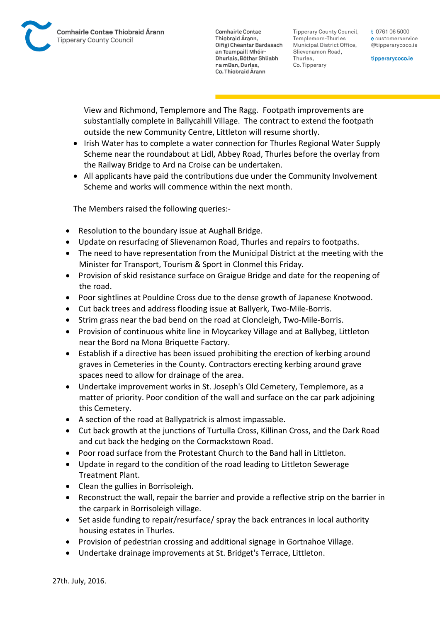Tipperary County Council. Templemore-Thurles Municipal District Office, Slievenamon Road, Thurles, Co. Tipperary

t 0761 06 5000 e customerservice @tipperarycoco.ie

tipperarycoco.ie

View and Richmond, Templemore and The Ragg. Footpath improvements are substantially complete in Ballycahill Village. The contract to extend the footpath outside the new Community Centre, Littleton will resume shortly.

- Irish Water has to complete a water connection for Thurles Regional Water Supply Scheme near the roundabout at Lidl, Abbey Road, Thurles before the overlay from the Railway Bridge to Ard na Croise can be undertaken.
- All applicants have paid the contributions due under the Community Involvement Scheme and works will commence within the next month.

The Members raised the following queries:-

- Resolution to the boundary issue at Aughall Bridge.
- Update on resurfacing of Slievenamon Road, Thurles and repairs to footpaths.
- The need to have representation from the Municipal District at the meeting with the Minister for Transport, Tourism & Sport in Clonmel this Friday.
- Provision of skid resistance surface on Graigue Bridge and date for the reopening of the road.
- Poor sightlines at Pouldine Cross due to the dense growth of Japanese Knotwood.
- Cut back trees and address flooding issue at Ballyerk, Two-Mile-Borris.
- Strim grass near the bad bend on the road at Cloncleigh, Two-Mile-Borris.
- Provision of continuous white line in Moycarkey Village and at Ballybeg, Littleton near the Bord na Mona Briquette Factory.
- Establish if a directive has been issued prohibiting the erection of kerbing around graves in Cemeteries in the County. Contractors erecting kerbing around grave spaces need to allow for drainage of the area.
- Undertake improvement works in St. Joseph's Old Cemetery, Templemore, as a matter of priority. Poor condition of the wall and surface on the car park adjoining this Cemetery.
- A section of the road at Ballypatrick is almost impassable.
- Cut back growth at the junctions of Turtulla Cross, Killinan Cross, and the Dark Road and cut back the hedging on the Cormackstown Road.
- Poor road surface from the Protestant Church to the Band hall in Littleton.
- Update in regard to the condition of the road leading to Littleton Sewerage Treatment Plant.
- Clean the gullies in Borrisoleigh.
- Reconstruct the wall, repair the barrier and provide a reflective strip on the barrier in the carpark in Borrisoleigh village.
- Set aside funding to repair/resurface/ spray the back entrances in local authority housing estates in Thurles.
- Provision of pedestrian crossing and additional signage in Gortnahoe Village.
- Undertake drainage improvements at St. Bridget's Terrace, Littleton.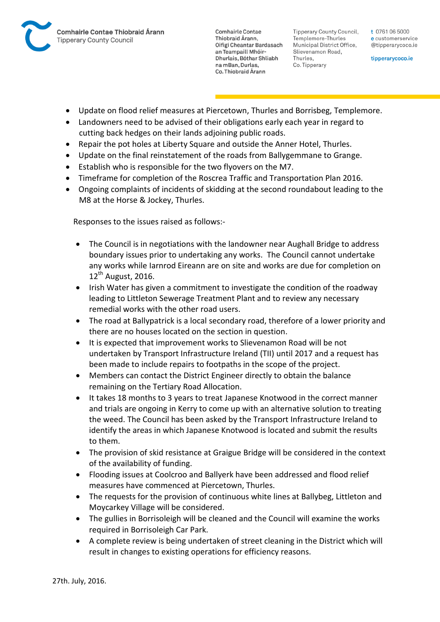

Tipperary County Council. Templemore-Thurles Municipal District Office, Slievenamon Road, Thurles, Co. Tipperary

t 0761 06 5000 e customerservice @tipperarycoco.ie

tipperarycoco.ie

- Update on flood relief measures at Piercetown, Thurles and Borrisbeg, Templemore.
- Landowners need to be advised of their obligations early each year in regard to cutting back hedges on their lands adjoining public roads.
- Repair the pot holes at Liberty Square and outside the Anner Hotel, Thurles.
- Update on the final reinstatement of the roads from Ballygemmane to Grange.
- Establish who is responsible for the two flyovers on the M7.
- Timeframe for completion of the Roscrea Traffic and Transportation Plan 2016.
- Ongoing complaints of incidents of skidding at the second roundabout leading to the M8 at the Horse & Jockey, Thurles.

Responses to the issues raised as follows:-

- The Council is in negotiations with the landowner near Aughall Bridge to address boundary issues prior to undertaking any works. The Council cannot undertake any works while Iarnrod Eireann are on site and works are due for completion on  $12^{th}$  August, 2016.
- Irish Water has given a commitment to investigate the condition of the roadway leading to Littleton Sewerage Treatment Plant and to review any necessary remedial works with the other road users.
- The road at Ballypatrick is a local secondary road, therefore of a lower priority and there are no houses located on the section in question.
- It is expected that improvement works to Slievenamon Road will be not undertaken by Transport Infrastructure Ireland (TII) until 2017 and a request has been made to include repairs to footpaths in the scope of the project.
- Members can contact the District Engineer directly to obtain the balance remaining on the Tertiary Road Allocation.
- It takes 18 months to 3 years to treat Japanese Knotwood in the correct manner and trials are ongoing in Kerry to come up with an alternative solution to treating the weed. The Council has been asked by the Transport Infrastructure Ireland to identify the areas in which Japanese Knotwood is located and submit the results to them.
- The provision of skid resistance at Graigue Bridge will be considered in the context of the availability of funding.
- Flooding issues at Coolcroo and Ballyerk have been addressed and flood relief measures have commenced at Piercetown, Thurles.
- The requests for the provision of continuous white lines at Ballybeg, Littleton and Moycarkey Village will be considered.
- The gullies in Borrisoleigh will be cleaned and the Council will examine the works required in Borrisoleigh Car Park.
- A complete review is being undertaken of street cleaning in the District which will result in changes to existing operations for efficiency reasons.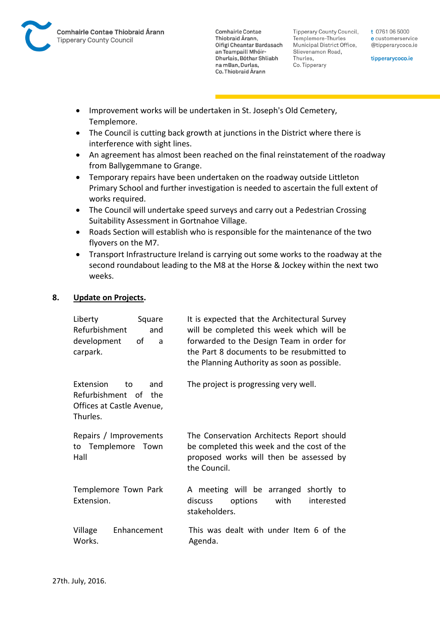

**Tipperary County Council,** Templemore-Thurles Municipal District Office, Slievenamon Road, Thurles, Co. Tipperary

t 0761 06 5000 e customerservice @tipperarycoco.ie

tipperarycoco.ie

- Improvement works will be undertaken in St. Joseph's Old Cemetery, Templemore.
- The Council is cutting back growth at junctions in the District where there is interference with sight lines.
- An agreement has almost been reached on the final reinstatement of the roadway from Ballygemmane to Grange.
- Temporary repairs have been undertaken on the roadway outside Littleton Primary School and further investigation is needed to ascertain the full extent of works required.
- The Council will undertake speed surveys and carry out a Pedestrian Crossing Suitability Assessment in Gortnahoe Village.
- Roads Section will establish who is responsible for the maintenance of the two flyovers on the M7.
- Transport Infrastructure Ireland is carrying out some works to the roadway at the second roundabout leading to the M8 at the Horse & Jockey within the next two weeks.

### **8. Update on Projects.**

| Liberty<br>Square<br>Refurbishment<br>and<br>development<br>of<br>a<br>carpark.         | It is expected that the Architectural Survey<br>will be completed this week which will be<br>forwarded to the Design Team in order for<br>the Part 8 documents to be resubmitted to<br>the Planning Authority as soon as possible. |
|-----------------------------------------------------------------------------------------|------------------------------------------------------------------------------------------------------------------------------------------------------------------------------------------------------------------------------------|
| Extension<br>and<br>to<br>Refurbishment of the<br>Offices at Castle Avenue,<br>Thurles. | The project is progressing very well.                                                                                                                                                                                              |
| Repairs / Improvements<br>to Templemore Town<br>Hall                                    | The Conservation Architects Report should<br>be completed this week and the cost of the<br>proposed works will then be assessed by<br>the Council.                                                                                 |
| Templemore Town Park<br>Extension.                                                      | A meeting will be arranged shortly to<br>with<br>discuss<br>options<br>interested<br>stakeholders.                                                                                                                                 |
| Village<br>Enhancement<br>Works.                                                        | This was dealt with under Item 6 of the<br>Agenda.                                                                                                                                                                                 |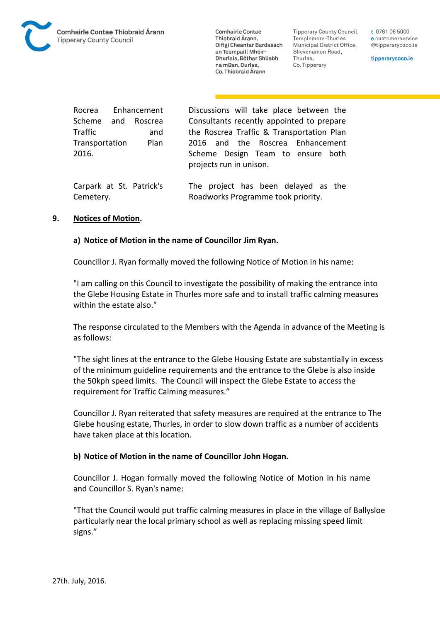

Tipperary County Council. Templemore-Thurles Municipal District Office, Slievenamon Road, Thurles, Co. Tipperary

t 0761 06 5000 e customerservice @tipperarycoco.ie

tipperarycoco.ie

Rocrea Enhancement Scheme and Roscrea Traffic and Transportation Plan 2016.

Discussions will take place between the Consultants recently appointed to prepare the Roscrea Traffic & Transportation Plan 2016 and the Roscrea Enhancement Scheme Design Team to ensure both projects run in unison.

Carpark at St. Patrick's Cemetery. The project has been delayed as the Roadworks Programme took priority.

#### **9. Notices of Motion.**

#### **a) Notice of Motion in the name of Councillor Jim Ryan.**

Councillor J. Ryan formally moved the following Notice of Motion in his name:

"I am calling on this Council to investigate the possibility of making the entrance into the Glebe Housing Estate in Thurles more safe and to install traffic calming measures within the estate also."

The response circulated to the Members with the Agenda in advance of the Meeting is as follows:

"The sight lines at the entrance to the Glebe Housing Estate are substantially in excess of the minimum guideline requirements and the entrance to the Glebe is also inside the 50kph speed limits. The Council will inspect the Glebe Estate to access the requirement for Traffic Calming measures."

Councillor J. Ryan reiterated that safety measures are required at the entrance to The Glebe housing estate, Thurles, in order to slow down traffic as a number of accidents have taken place at this location.

#### **b) Notice of Motion in the name of Councillor John Hogan.**

Councillor J. Hogan formally moved the following Notice of Motion in his name and Councillor S. Ryan's name:

"That the Council would put traffic calming measures in place in the village of Ballysloe particularly near the local primary school as well as replacing missing speed limit signs."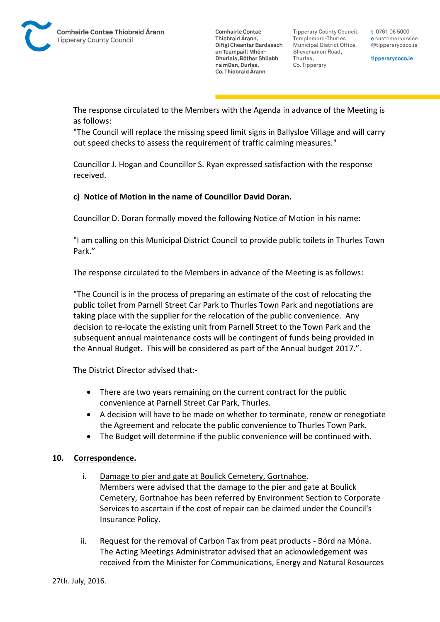Tipperary County Council. Templemore-Thurles Municipal District Office, Slievenamon Road, Thurles, Co. Tipperary

t 0761 06 5000 e customerservice @tipperarycoco.ie

tipperarycoco.ie

The response circulated to the Members with the Agenda in advance of the Meeting is as follows:

"The Council will replace the missing speed limit signs in Ballysloe Village and will carry out speed checks to assess the requirement of traffic calming measures."

Councillor J. Hogan and Councillor S. Ryan expressed satisfaction with the response received.

## **c) Notice of Motion in the name of Councillor David Doran.**

Councillor D. Doran formally moved the following Notice of Motion in his name:

"I am calling on this Municipal District Council to provide public toilets in Thurles Town Park."

The response circulated to the Members in advance of the Meeting is as follows:

"The Council is in the process of preparing an estimate of the cost of relocating the public toilet from Parnell Street Car Park to Thurles Town Park and negotiations are taking place with the supplier for the relocation of the public convenience. Any decision to re-locate the existing unit from Parnell Street to the Town Park and the subsequent annual maintenance costs will be contingent of funds being provided in the Annual Budget. This will be considered as part of the Annual budget 2017.".

The District Director advised that:-

- There are two years remaining on the current contract for the public convenience at Parnell Street Car Park, Thurles.
- A decision will have to be made on whether to terminate, renew or renegotiate the Agreement and relocate the public convenience to Thurles Town Park.
- The Budget will determine if the public convenience will be continued with.

#### **10. Correspondence.**

- i. Damage to pier and gate at Boulick Cemetery, Gortnahoe. Members were advised that the damage to the pier and gate at Boulick Cemetery, Gortnahoe has been referred by Environment Section to Corporate Services to ascertain if the cost of repair can be claimed under the Council's Insurance Policy.
- ii. Request for the removal of Carbon Tax from peat products Bórd na Móna. The Acting Meetings Administrator advised that an acknowledgement was received from the Minister for Communications, Energy and Natural Resources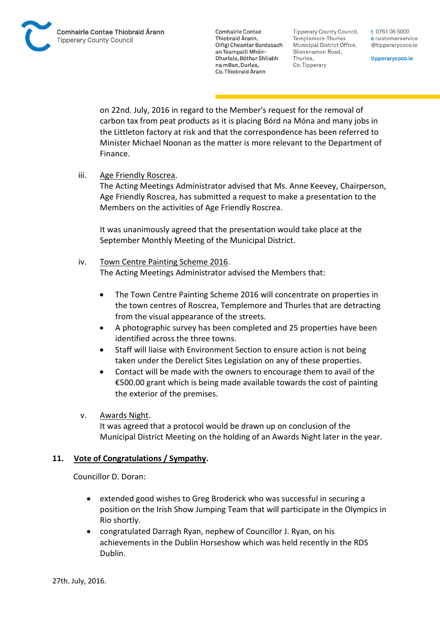**Tipperary County Council,** Templemore-Thurles Municipal District Office, Slievenamon Road, Thurles, Co. Tipperary

t 0761 06 5000 e customerservice @tipperarycoco.ie

tipperarycoco.ie

on 22nd. July, 2016 in regard to the Member's request for the removal of carbon tax from peat products as it is placing Bórd na Móna and many jobs in the Littleton factory at risk and that the correspondence has been referred to Minister Michael Noonan as the matter is more relevant to the Department of Finance.

iii. Age Friendly Roscrea.

The Acting Meetings Administrator advised that Ms. Anne Keevey, Chairperson, Age Friendly Roscrea, has submitted a request to make a presentation to the Members on the activities of Age Friendly Roscrea.

It was unanimously agreed that the presentation would take place at the September Monthly Meeting of the Municipal District.

### iv. Town Centre Painting Scheme 2016.

The Acting Meetings Administrator advised the Members that:

- The Town Centre Painting Scheme 2016 will concentrate on properties in the town centres of Roscrea, Templemore and Thurles that are detracting from the visual appearance of the streets.
- A photographic survey has been completed and 25 properties have been identified across the three towns.
- Staff will liaise with Environment Section to ensure action is not being taken under the Derelict Sites Legislation on any of these properties.
- Contact will be made with the owners to encourage them to avail of the €500.00 grant which is being made available towards the cost of painting the exterior of the premises.
- v. Awards Night.

It was agreed that a protocol would be drawn up on conclusion of the Municipal District Meeting on the holding of an Awards Night later in the year.

## **11. Vote of Congratulations / Sympathy.**

Councillor D. Doran:

- extended good wishes to Greg Broderick who was successful in securing a position on the Irish Show Jumping Team that will participate in the Olympics in Rio shortly.
- congratulated Darragh Ryan, nephew of Councillor J. Ryan, on his achievements in the Dublin Horseshow which was held recently in the RDS Dublin.